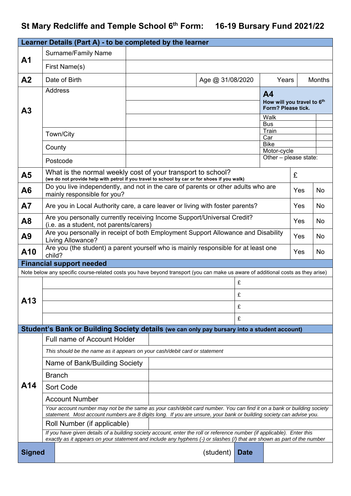## St Mary Redcliffe and Temple School 6<sup>th</sup> Form: 16-19 Bursary Fund 2021/22

|                | Learner Details (Part A) - to be completed by the learner                                                                                                                                                                                          |                                                                                                                                                                  |           |                  |             |                            |                                                  |               |  |  |
|----------------|----------------------------------------------------------------------------------------------------------------------------------------------------------------------------------------------------------------------------------------------------|------------------------------------------------------------------------------------------------------------------------------------------------------------------|-----------|------------------|-------------|----------------------------|--------------------------------------------------|---------------|--|--|
|                | <b>Surname/Family Name</b>                                                                                                                                                                                                                         |                                                                                                                                                                  |           |                  |             |                            |                                                  |               |  |  |
| A <sub>1</sub> | First Name(s)                                                                                                                                                                                                                                      |                                                                                                                                                                  |           |                  |             |                            |                                                  |               |  |  |
| A <sub>2</sub> | Date of Birth                                                                                                                                                                                                                                      |                                                                                                                                                                  |           | Age @ 31/08/2020 |             | Years                      |                                                  | <b>Months</b> |  |  |
|                | <b>Address</b>                                                                                                                                                                                                                                     |                                                                                                                                                                  | <b>A4</b> |                  |             |                            |                                                  |               |  |  |
|                |                                                                                                                                                                                                                                                    |                                                                                                                                                                  |           |                  |             |                            | How will you travel to 6th<br>Form? Please tick. |               |  |  |
| A <sub>3</sub> |                                                                                                                                                                                                                                                    |                                                                                                                                                                  |           |                  |             |                            | Walk                                             |               |  |  |
|                |                                                                                                                                                                                                                                                    |                                                                                                                                                                  |           |                  |             | <b>Bus</b><br>Train        |                                                  |               |  |  |
|                | Town/City                                                                                                                                                                                                                                          |                                                                                                                                                                  |           |                  |             | Car                        |                                                  |               |  |  |
|                | County                                                                                                                                                                                                                                             |                                                                                                                                                                  |           |                  |             | <b>Bike</b><br>Motor-cycle |                                                  |               |  |  |
|                | Postcode                                                                                                                                                                                                                                           |                                                                                                                                                                  |           |                  |             | Other - please state:      |                                                  |               |  |  |
| A <sub>5</sub> |                                                                                                                                                                                                                                                    | What is the normal weekly cost of your transport to school?<br>£<br>(we do not provide help with petrol if you travel to school by car or for shoes if you walk) |           |                  |             |                            |                                                  |               |  |  |
| A <sub>6</sub> | Do you live independently, and not in the care of parents or other adults who are<br>mainly responsible for you?                                                                                                                                   |                                                                                                                                                                  |           |                  |             |                            | Yes                                              | <b>No</b>     |  |  |
| A7             |                                                                                                                                                                                                                                                    | Are you in Local Authority care, a care leaver or living with foster parents?<br>Yes<br><b>No</b>                                                                |           |                  |             |                            |                                                  |               |  |  |
| A <sub>8</sub> |                                                                                                                                                                                                                                                    | Are you personally currently receiving Income Support/Universal Credit?<br>Yes<br><b>No</b><br>(i.e. as a student, not parents/carers)                           |           |                  |             |                            |                                                  |               |  |  |
| A9             | Are you personally in receipt of both Employment Support Allowance and Disability<br>Living Allowance?                                                                                                                                             |                                                                                                                                                                  |           |                  |             |                            | Yes                                              | <b>No</b>     |  |  |
| A10            | Are you (the student) a parent yourself who is mainly responsible for at least one<br>child?                                                                                                                                                       |                                                                                                                                                                  |           |                  |             |                            | Yes                                              | <b>No</b>     |  |  |
|                | <b>Financial support needed</b>                                                                                                                                                                                                                    |                                                                                                                                                                  |           |                  |             |                            |                                                  |               |  |  |
|                | Note below any specific course-related costs you have beyond transport (you can make us aware of additional costs as they arise)                                                                                                                   |                                                                                                                                                                  |           |                  | £           |                            |                                                  |               |  |  |
|                |                                                                                                                                                                                                                                                    |                                                                                                                                                                  |           |                  |             |                            |                                                  |               |  |  |
| A13            |                                                                                                                                                                                                                                                    |                                                                                                                                                                  |           |                  | £           |                            |                                                  |               |  |  |
|                | £                                                                                                                                                                                                                                                  |                                                                                                                                                                  |           |                  |             |                            |                                                  |               |  |  |
|                | £<br>Student's Bank or Building Society details (we can only pay bursary into a student account)                                                                                                                                                   |                                                                                                                                                                  |           |                  |             |                            |                                                  |               |  |  |
|                |                                                                                                                                                                                                                                                    |                                                                                                                                                                  |           |                  |             |                            |                                                  |               |  |  |
|                | <b>Full name of Account Holder</b>                                                                                                                                                                                                                 |                                                                                                                                                                  |           |                  |             |                            |                                                  |               |  |  |
|                | This should be the name as it appears on your cash/debit card or statement<br>Name of Bank/Building Society                                                                                                                                        |                                                                                                                                                                  |           |                  |             |                            |                                                  |               |  |  |
|                | <b>Branch</b>                                                                                                                                                                                                                                      |                                                                                                                                                                  |           |                  |             |                            |                                                  |               |  |  |
| A14            | Sort Code                                                                                                                                                                                                                                          |                                                                                                                                                                  |           |                  |             |                            |                                                  |               |  |  |
|                | <b>Account Number</b>                                                                                                                                                                                                                              |                                                                                                                                                                  |           |                  |             |                            |                                                  |               |  |  |
|                | Your account number may not be the same as your cash/debit card number. You can find it on a bank or building society<br>statement. Most account numbers are 8 digits long. If you are unsure, your bank or building society can advise you.       |                                                                                                                                                                  |           |                  |             |                            |                                                  |               |  |  |
|                |                                                                                                                                                                                                                                                    | Roll Number (if applicable)                                                                                                                                      |           |                  |             |                            |                                                  |               |  |  |
|                | If you have given details of a building society account, enter the roll or reference number (if applicable). Enter this<br>exactly as it appears on your statement and include any hyphens (-) or slashes (/) that are shown as part of the number |                                                                                                                                                                  |           |                  |             |                            |                                                  |               |  |  |
| <b>Signed</b>  |                                                                                                                                                                                                                                                    |                                                                                                                                                                  |           | (student)        | <b>Date</b> |                            |                                                  |               |  |  |